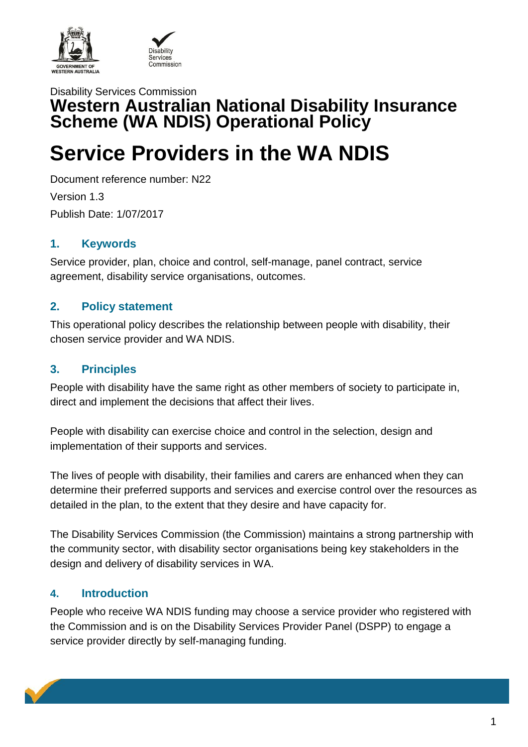



## Disability Services Commission **Western Australian National Disability Insurance Scheme (WA NDIS) Operational Policy**

# **Service Providers in the WA NDIS**

Document reference number: N22

Version 1.3 Publish Date: 1/07/2017

## **1. Keywords**

Service provider, plan, choice and control, self-manage, panel contract, service agreement, disability service organisations, outcomes.

## **2. Policy statement**

This operational policy describes the relationship between people with disability, their chosen service provider and WA NDIS.

## **3. Principles**

People with disability have the same right as other members of society to participate in, direct and implement the decisions that affect their lives.

People with disability can exercise choice and control in the selection, design and implementation of their supports and services.

The lives of people with disability, their families and carers are enhanced when they can determine their preferred supports and services and exercise control over the resources as detailed in the plan, to the extent that they desire and have capacity for.

The Disability Services Commission (the Commission) maintains a strong partnership with the community sector, with disability sector organisations being key stakeholders in the design and delivery of disability services in WA.

### **4. Introduction**

People who receive WA NDIS funding may choose a service provider who registered with the Commission and is on the Disability Services Provider Panel (DSPP) to engage a service provider directly by self-managing funding.

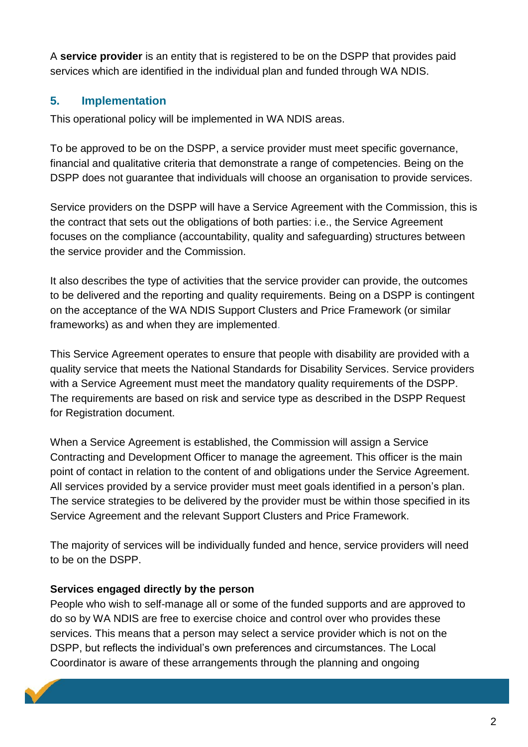A **service provider** is an entity that is registered to be on the DSPP that provides paid services which are identified in the individual plan and funded through WA NDIS.

#### **5. Implementation**

This operational policy will be implemented in WA NDIS areas.

To be approved to be on the DSPP, a service provider must meet specific governance, financial and qualitative criteria that demonstrate a range of competencies. Being on the DSPP does not guarantee that individuals will choose an organisation to provide services.

Service providers on the DSPP will have a Service Agreement with the Commission, this is the contract that sets out the obligations of both parties: i.e., the Service Agreement focuses on the compliance (accountability, quality and safeguarding) structures between the service provider and the Commission.

It also describes the type of activities that the service provider can provide, the outcomes to be delivered and the reporting and quality requirements. Being on a DSPP is contingent on the acceptance of the WA NDIS Support Clusters and Price Framework (or similar frameworks) as and when they are implemented.

This Service Agreement operates to ensure that people with disability are provided with a quality service that meets the National Standards for Disability Services. Service providers with a Service Agreement must meet the mandatory quality requirements of the DSPP. The requirements are based on risk and service type as described in the DSPP Request for Registration document.

When a Service Agreement is established, the Commission will assign a Service Contracting and Development Officer to manage the agreement. This officer is the main point of contact in relation to the content of and obligations under the Service Agreement. All services provided by a service provider must meet goals identified in a person's plan. The service strategies to be delivered by the provider must be within those specified in its Service Agreement and the relevant Support Clusters and Price Framework.

The majority of services will be individually funded and hence, service providers will need to be on the DSPP.

#### **Services engaged directly by the person**

People who wish to self-manage all or some of the funded supports and are approved to do so by WA NDIS are free to exercise choice and control over who provides these services. This means that a person may select a service provider which is not on the DSPP, but reflects the individual's own preferences and circumstances. The Local Coordinator is aware of these arrangements through the planning and ongoing